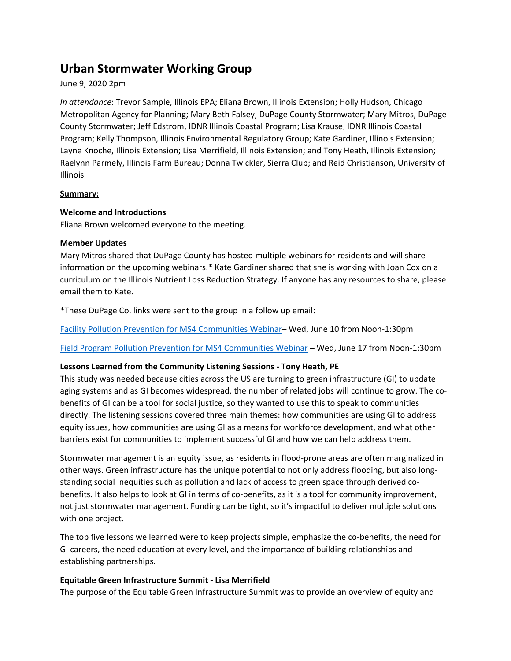# **Urban Stormwater Working Group**

## June 9, 2020 2pm

*In attendance*: Trevor Sample, Illinois EPA; Eliana Brown, Illinois Extension; Holly Hudson, Chicago Metropolitan Agency for Planning; Mary Beth Falsey, DuPage County Stormwater; Mary Mitros, DuPage County Stormwater; Jeff Edstrom, IDNR Illinois Coastal Program; Lisa Krause, IDNR Illinois Coastal Program; Kelly Thompson, Illinois Environmental Regulatory Group; Kate Gardiner, Illinois Extension; Layne Knoche, Illinois Extension; Lisa Merrifield, Illinois Extension; and Tony Heath, Illinois Extension; Raelynn Parmely, Illinois Farm Bureau; Donna Twickler, Sierra Club; and Reid Christianson, University of Illinois

## **Summary:**

## **Welcome and Introductions**

Eliana Brown welcomed everyone to the meeting.

## **Member Updates**

Mary Mitros shared that DuPage County has hosted multiple webinars for residents and will share information on the upcoming webinars.\* Kate Gardiner shared that she is working with Joan Cox on a curriculum on the Illinois Nutrient Loss Reduction Strategy. If anyone has any resources to share, please email them to Kate.

\*These DuPage Co. links were sent to the group in a follow up email:

[Facility Pollution Prevention for MS4 Communities Webinar–](https://us02web.zoom.us/meeting/register/tZIkdOiqrj8jGtbRywlS0b7D7-2wG7vRVs1o) Wed, June 10 from Noon-1:30pm

[Field Program Pollution Prevention for MS4 Communities Webinar](https://us02web.zoom.us/meeting/register/tZUoc--qqD4uHtKibXeaKC3RHV9taA5lpZkq) – Wed, June 17 from Noon-1:30pm

# **Lessons Learned from the Community Listening Sessions - Tony Heath, PE**

This study was needed because cities across the US are turning to green infrastructure (GI) to update aging systems and as GI becomes widespread, the number of related jobs will continue to grow. The cobenefits of GI can be a tool for social justice, so they wanted to use this to speak to communities directly. The listening sessions covered three main themes: how communities are using GI to address equity issues, how communities are using GI as a means for workforce development, and what other barriers exist for communities to implement successful GI and how we can help address them.

Stormwater management is an equity issue, as residents in flood-prone areas are often marginalized in other ways. Green infrastructure has the unique potential to not only address flooding, but also longstanding social inequities such as pollution and lack of access to green space through derived cobenefits. It also helps to look at GI in terms of co-benefits, as it is a tool for community improvement, not just stormwater management. Funding can be tight, so it's impactful to deliver multiple solutions with one project.

The top five lessons we learned were to keep projects simple, emphasize the co-benefits, the need for GI careers, the need education at every level, and the importance of building relationships and establishing partnerships.

# **Equitable Green Infrastructure Summit - Lisa Merrifield**

The purpose of the Equitable Green Infrastructure Summit was to provide an overview of equity and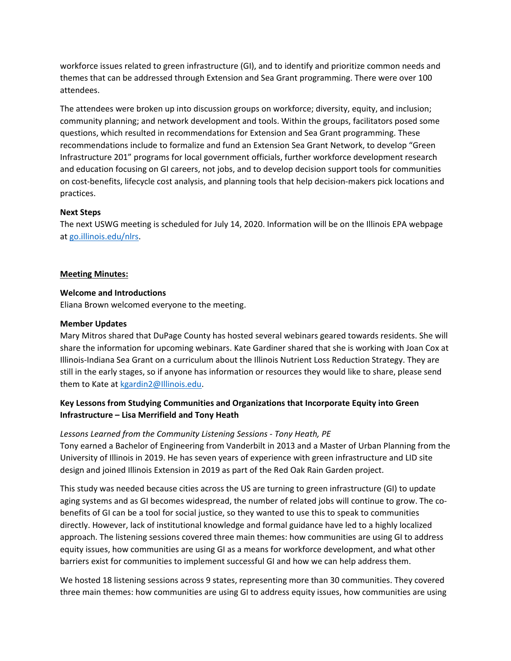workforce issues related to green infrastructure (GI), and to identify and prioritize common needs and themes that can be addressed through Extension and Sea Grant programming. There were over 100 attendees.

The attendees were broken up into discussion groups on workforce; diversity, equity, and inclusion; community planning; and network development and tools. Within the groups, facilitators posed some questions, which resulted in recommendations for Extension and Sea Grant programming. These recommendations include to formalize and fund an Extension Sea Grant Network, to develop "Green Infrastructure 201" programs for local government officials, further workforce development research and education focusing on GI careers, not jobs, and to develop decision support tools for communities on cost-benefits, lifecycle cost analysis, and planning tools that help decision-makers pick locations and practices.

## **Next Steps**

The next USWG meeting is scheduled for July 14, 2020. Information will be on the Illinois EPA webpage at go.illinois.edu/nlrs.

#### **Meeting Minutes:**

#### **Welcome and Introductions**

Eliana Brown welcomed everyone to the meeting.

#### **Member Updates**

Mary Mitros shared that DuPage County has hosted several webinars geared towards residents. She will share the information for upcoming webinars. Kate Gardiner shared that she is working with Joan Cox at Illinois-Indiana Sea Grant on a curriculum about the Illinois Nutrient Loss Reduction Strategy. They are still in the early stages, so if anyone has information or resources they would like to share, please send them to Kate at [kgardin2@Illinois.edu.](mailto:kgardin2@Illinois.edu)

# **Key Lessons from Studying Communities and Organizations that Incorporate Equity into Green Infrastructure – Lisa Merrifield and Tony Heath**

## *Lessons Learned from the Community Listening Sessions - Tony Heath, PE*

Tony earned a Bachelor of Engineering from Vanderbilt in 2013 and a Master of Urban Planning from the University of Illinois in 2019. He has seven years of experience with green infrastructure and LID site design and joined Illinois Extension in 2019 as part of the Red Oak Rain Garden project.

This study was needed because cities across the US are turning to green infrastructure (GI) to update aging systems and as GI becomes widespread, the number of related jobs will continue to grow. The cobenefits of GI can be a tool for social justice, so they wanted to use this to speak to communities directly. However, lack of institutional knowledge and formal guidance have led to a highly localized approach. The listening sessions covered three main themes: how communities are using GI to address equity issues, how communities are using GI as a means for workforce development, and what other barriers exist for communities to implement successful GI and how we can help address them.

We hosted 18 listening sessions across 9 states, representing more than 30 communities. They covered three main themes: how communities are using GI to address equity issues, how communities are using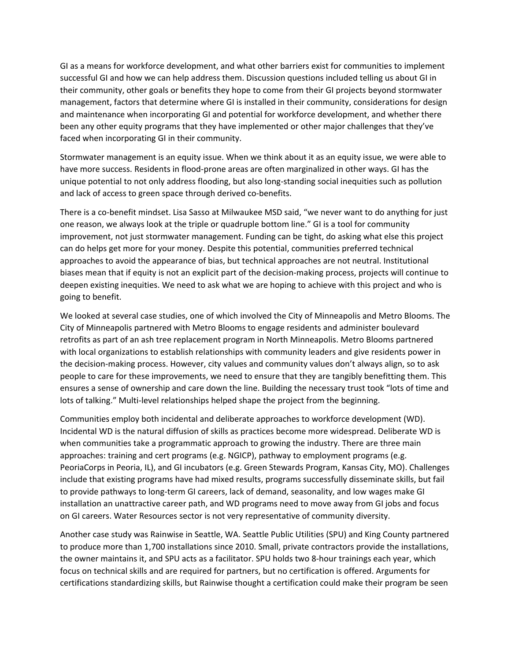GI as a means for workforce development, and what other barriers exist for communities to implement successful GI and how we can help address them. Discussion questions included telling us about GI in their community, other goals or benefits they hope to come from their GI projects beyond stormwater management, factors that determine where GI is installed in their community, considerations for design and maintenance when incorporating GI and potential for workforce development, and whether there been any other equity programs that they have implemented or other major challenges that they've faced when incorporating GI in their community.

Stormwater management is an equity issue. When we think about it as an equity issue, we were able to have more success. Residents in flood-prone areas are often marginalized in other ways. GI has the unique potential to not only address flooding, but also long-standing social inequities such as pollution and lack of access to green space through derived co-benefits.

There is a co-benefit mindset. Lisa Sasso at Milwaukee MSD said, "we never want to do anything for just one reason, we always look at the triple or quadruple bottom line." GI is a tool for community improvement, not just stormwater management. Funding can be tight, do asking what else this project can do helps get more for your money. Despite this potential, communities preferred technical approaches to avoid the appearance of bias, but technical approaches are not neutral. Institutional biases mean that if equity is not an explicit part of the decision-making process, projects will continue to deepen existing inequities. We need to ask what we are hoping to achieve with this project and who is going to benefit.

We looked at several case studies, one of which involved the City of Minneapolis and Metro Blooms. The City of Minneapolis partnered with Metro Blooms to engage residents and administer boulevard retrofits as part of an ash tree replacement program in North Minneapolis. Metro Blooms partnered with local organizations to establish relationships with community leaders and give residents power in the decision-making process. However, city values and community values don't always align, so to ask people to care for these improvements, we need to ensure that they are tangibly benefitting them. This ensures a sense of ownership and care down the line. Building the necessary trust took "lots of time and lots of talking." Multi-level relationships helped shape the project from the beginning.

Communities employ both incidental and deliberate approaches to workforce development (WD). Incidental WD is the natural diffusion of skills as practices become more widespread. Deliberate WD is when communities take a programmatic approach to growing the industry. There are three main approaches: training and cert programs (e.g. NGICP), pathway to employment programs (e.g. PeoriaCorps in Peoria, IL), and GI incubators (e.g. Green Stewards Program, Kansas City, MO). Challenges include that existing programs have had mixed results, programs successfully disseminate skills, but fail to provide pathways to long-term GI careers, lack of demand, seasonality, and low wages make GI installation an unattractive career path, and WD programs need to move away from GI jobs and focus on GI careers. Water Resources sector is not very representative of community diversity.

Another case study was Rainwise in Seattle, WA. Seattle Public Utilities (SPU) and King County partnered to produce more than 1,700 installations since 2010. Small, private contractors provide the installations, the owner maintains it, and SPU acts as a facilitator. SPU holds two 8-hour trainings each year, which focus on technical skills and are required for partners, but no certification is offered. Arguments for certifications standardizing skills, but Rainwise thought a certification could make their program be seen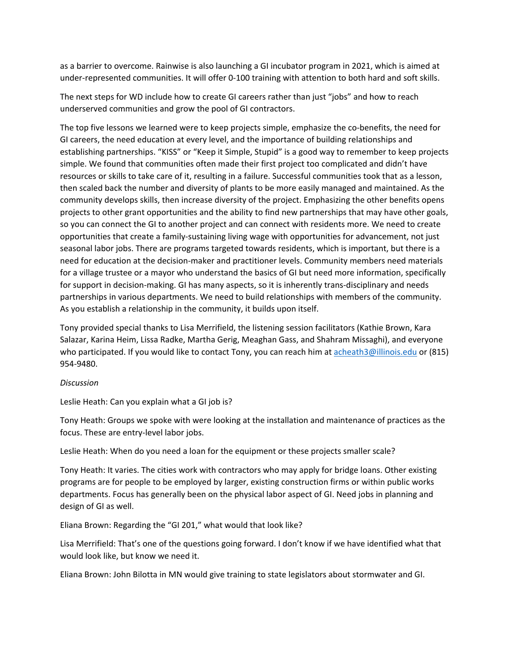as a barrier to overcome. Rainwise is also launching a GI incubator program in 2021, which is aimed at under-represented communities. It will offer 0-100 training with attention to both hard and soft skills.

The next steps for WD include how to create GI careers rather than just "jobs" and how to reach underserved communities and grow the pool of GI contractors.

The top five lessons we learned were to keep projects simple, emphasize the co-benefits, the need for GI careers, the need education at every level, and the importance of building relationships and establishing partnerships. "KISS" or "Keep it Simple, Stupid" is a good way to remember to keep projects simple. We found that communities often made their first project too complicated and didn't have resources or skills to take care of it, resulting in a failure. Successful communities took that as a lesson, then scaled back the number and diversity of plants to be more easily managed and maintained. As the community develops skills, then increase diversity of the project. Emphasizing the other benefits opens projects to other grant opportunities and the ability to find new partnerships that may have other goals, so you can connect the GI to another project and can connect with residents more. We need to create opportunities that create a family-sustaining living wage with opportunities for advancement, not just seasonal labor jobs. There are programs targeted towards residents, which is important, but there is a need for education at the decision-maker and practitioner levels. Community members need materials for a village trustee or a mayor who understand the basics of GI but need more information, specifically for support in decision-making. GI has many aspects, so it is inherently trans-disciplinary and needs partnerships in various departments. We need to build relationships with members of the community. As you establish a relationship in the community, it builds upon itself.

Tony provided special thanks to Lisa Merrifield, the listening session facilitators (Kathie Brown, Kara Salazar, Karina Heim, Lissa Radke, Martha Gerig, Meaghan Gass, and Shahram Missaghi), and everyone who participated. If you would like to contact Tony, you can reach him at [acheath3@illinois.edu](mailto:acheath3@illinois.edu) or (815) 954-9480.

#### *Discussion*

Leslie Heath: Can you explain what a GI job is?

Tony Heath: Groups we spoke with were looking at the installation and maintenance of practices as the focus. These are entry-level labor jobs.

Leslie Heath: When do you need a loan for the equipment or these projects smaller scale?

Tony Heath: It varies. The cities work with contractors who may apply for bridge loans. Other existing programs are for people to be employed by larger, existing construction firms or within public works departments. Focus has generally been on the physical labor aspect of GI. Need jobs in planning and design of GI as well.

Eliana Brown: Regarding the "GI 201," what would that look like?

Lisa Merrifield: That's one of the questions going forward. I don't know if we have identified what that would look like, but know we need it.

Eliana Brown: John Bilotta in MN would give training to state legislators about stormwater and GI.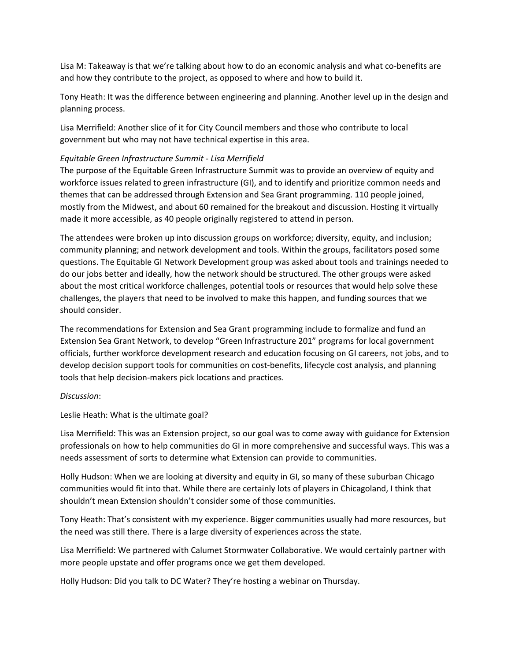Lisa M: Takeaway is that we're talking about how to do an economic analysis and what co-benefits are and how they contribute to the project, as opposed to where and how to build it.

Tony Heath: It was the difference between engineering and planning. Another level up in the design and planning process.

Lisa Merrifield: Another slice of it for City Council members and those who contribute to local government but who may not have technical expertise in this area.

#### *Equitable Green Infrastructure Summit - Lisa Merrifield*

The purpose of the Equitable Green Infrastructure Summit was to provide an overview of equity and workforce issues related to green infrastructure (GI), and to identify and prioritize common needs and themes that can be addressed through Extension and Sea Grant programming. 110 people joined, mostly from the Midwest, and about 60 remained for the breakout and discussion. Hosting it virtually made it more accessible, as 40 people originally registered to attend in person.

The attendees were broken up into discussion groups on workforce; diversity, equity, and inclusion; community planning; and network development and tools. Within the groups, facilitators posed some questions. The Equitable GI Network Development group was asked about tools and trainings needed to do our jobs better and ideally, how the network should be structured. The other groups were asked about the most critical workforce challenges, potential tools or resources that would help solve these challenges, the players that need to be involved to make this happen, and funding sources that we should consider.

The recommendations for Extension and Sea Grant programming include to formalize and fund an Extension Sea Grant Network, to develop "Green Infrastructure 201" programs for local government officials, further workforce development research and education focusing on GI careers, not jobs, and to develop decision support tools for communities on cost-benefits, lifecycle cost analysis, and planning tools that help decision-makers pick locations and practices.

#### *Discussion*:

Leslie Heath: What is the ultimate goal?

Lisa Merrifield: This was an Extension project, so our goal was to come away with guidance for Extension professionals on how to help communities do GI in more comprehensive and successful ways. This was a needs assessment of sorts to determine what Extension can provide to communities.

Holly Hudson: When we are looking at diversity and equity in GI, so many of these suburban Chicago communities would fit into that. While there are certainly lots of players in Chicagoland, I think that shouldn't mean Extension shouldn't consider some of those communities.

Tony Heath: That's consistent with my experience. Bigger communities usually had more resources, but the need was still there. There is a large diversity of experiences across the state.

Lisa Merrifield: We partnered with Calumet Stormwater Collaborative. We would certainly partner with more people upstate and offer programs once we get them developed.

Holly Hudson: Did you talk to DC Water? They're hosting a webinar on Thursday.